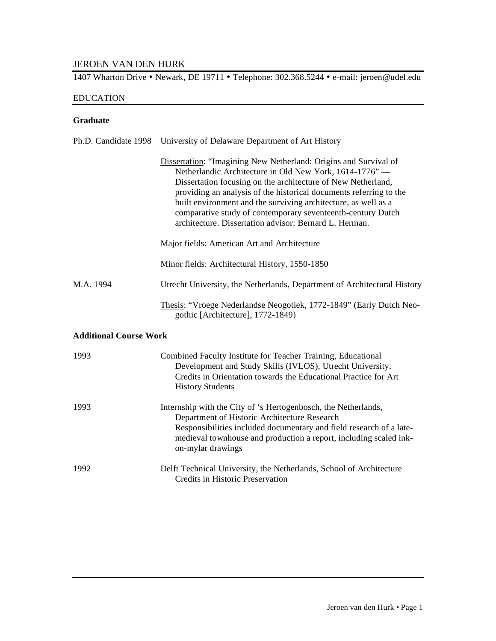# JEROEN VAN DEN HURK

1407 Wharton Drive • Newark, DE 19711 • Telephone: 302.368.5244 • e-mail: jeroen@udel.edu

## EDUCATION

## **Graduate**

|                               | Ph.D. Candidate 1998 University of Delaware Department of Art History                                                                                                                                                                                                                                                                                                                                                                                        |
|-------------------------------|--------------------------------------------------------------------------------------------------------------------------------------------------------------------------------------------------------------------------------------------------------------------------------------------------------------------------------------------------------------------------------------------------------------------------------------------------------------|
|                               | Dissertation: "Imagining New Netherland: Origins and Survival of<br>Netherlandic Architecture in Old New York, 1614-1776" —<br>Dissertation focusing on the architecture of New Netherland,<br>providing an analysis of the historical documents referring to the<br>built environment and the surviving architecture, as well as a<br>comparative study of contemporary seventeenth-century Dutch<br>architecture. Dissertation advisor: Bernard L. Herman. |
|                               | Major fields: American Art and Architecture                                                                                                                                                                                                                                                                                                                                                                                                                  |
|                               | Minor fields: Architectural History, 1550-1850                                                                                                                                                                                                                                                                                                                                                                                                               |
| M.A. 1994                     | Utrecht University, the Netherlands, Department of Architectural History                                                                                                                                                                                                                                                                                                                                                                                     |
|                               | Thesis: "Vroege Nederlandse Neogotiek, 1772-1849" (Early Dutch Neo-<br>gothic [Architecture], 1772-1849)                                                                                                                                                                                                                                                                                                                                                     |
| <b>Additional Course Work</b> |                                                                                                                                                                                                                                                                                                                                                                                                                                                              |
| 1993                          | Combined Faculty Institute for Teacher Training, Educational<br>Development and Study Skills (IVLOS), Utrecht University.<br>Credits in Orientation towards the Educational Practice for Art<br><b>History Students</b>                                                                                                                                                                                                                                      |
| 1993                          | Internship with the City of 's Hertogenbosch, the Netherlands,<br>Department of Historic Architecture Research<br>Responsibilities included documentary and field research of a late-<br>medieval townhouse and production a report, including scaled ink-<br>on-mylar drawings                                                                                                                                                                              |
| 1992                          | Delft Technical University, the Netherlands, School of Architecture<br>Credits in Historic Preservation                                                                                                                                                                                                                                                                                                                                                      |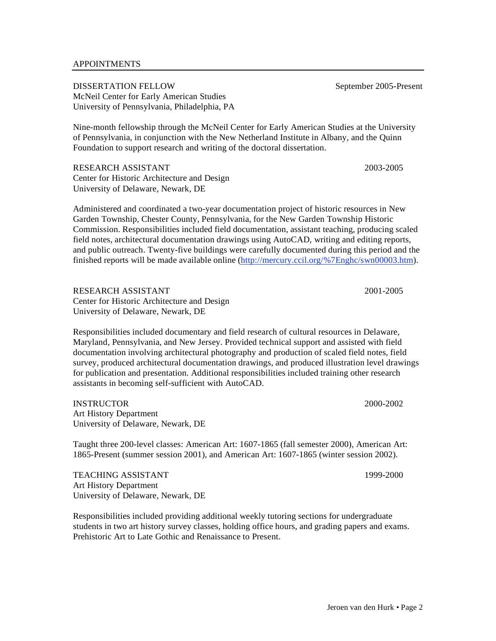#### APPOINTMENTS

DISSERTATION FELLOW September 2005-Present McNeil Center for Early American Studies University of Pennsylvania, Philadelphia, PA

Nine-month fellowship through the McNeil Center for Early American Studies at the University of Pennsylvania, in conjunction with the New Netherland Institute in Albany, and the Quinn Foundation to support research and writing of the doctoral dissertation.

RESEARCH ASSISTANT 2003-2005 Center for Historic Architecture and Design University of Delaware, Newark, DE

Administered and coordinated a two-year documentation project of historic resources in New Garden Township, Chester County, Pennsylvania, for the New Garden Township Historic Commission. Responsibilities included field documentation, assistant teaching, producing scaled field notes, architectural documentation drawings using AutoCAD, writing and editing reports, and public outreach. Twenty-five buildings were carefully documented during this period and the finished reports will be made available online (http://mercury.ccil.org/%7Enghc/swn00003.htm).

RESEARCH ASSISTANT 2001-2005 Center for Historic Architecture and Design University of Delaware, Newark, DE

Responsibilities included documentary and field research of cultural resources in Delaware, Maryland, Pennsylvania, and New Jersey. Provided technical support and assisted with field documentation involving architectural photography and production of scaled field notes, field survey, produced architectural documentation drawings, and produced illustration level drawings for publication and presentation. Additional responsibilities included training other research assistants in becoming self-sufficient with AutoCAD.

INSTRUCTOR 2000-2002 Art History Department University of Delaware, Newark, DE

Taught three 200-level classes: American Art: 1607-1865 (fall semester 2000), American Art: 1865-Present (summer session 2001), and American Art: 1607-1865 (winter session 2002).

TEACHING ASSISTANT 1999-2000 Art History Department University of Delaware, Newark, DE

Responsibilities included providing additional weekly tutoring sections for undergraduate students in two art history survey classes, holding office hours, and grading papers and exams. Prehistoric Art to Late Gothic and Renaissance to Present.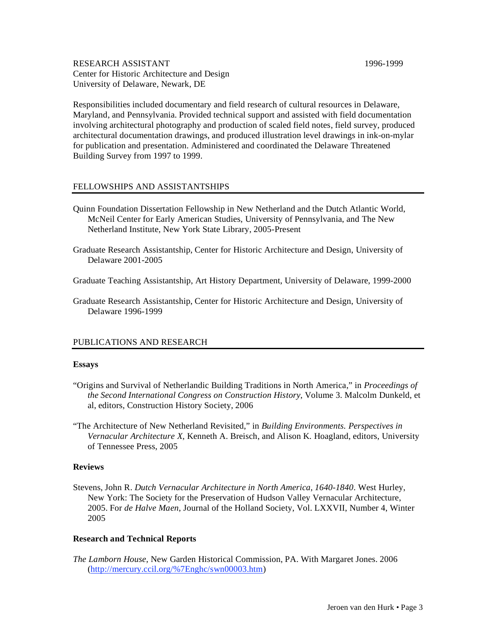Responsibilities included documentary and field research of cultural resources in Delaware, Maryland, and Pennsylvania. Provided technical support and assisted with field documentation involving architectural photography and production of scaled field notes, field survey, produced architectural documentation drawings, and produced illustration level drawings in ink-on-mylar for publication and presentation. Administered and coordinated the Delaware Threatened Building Survey from 1997 to 1999.

### FELLOWSHIPS AND ASSISTANTSHIPS

University of Delaware, Newark, DE

- Quinn Foundation Dissertation Fellowship in New Netherland and the Dutch Atlantic World, McNeil Center for Early American Studies, University of Pennsylvania, and The New Netherland Institute, New York State Library, 2005-Present
- Graduate Research Assistantship, Center for Historic Architecture and Design, University of Delaware 2001-2005

Graduate Teaching Assistantship, Art History Department, University of Delaware, 1999-2000

Graduate Research Assistantship, Center for Historic Architecture and Design, University of Delaware 1996-1999

## PUBLICATIONS AND RESEARCH

#### **Essays**

- "Origins and Survival of Netherlandic Building Traditions in North America," in *Proceedings of the Second International Congress on Construction History*, Volume 3. Malcolm Dunkeld, et al, editors, Construction History Society, 2006
- "The Architecture of New Netherland Revisited," in *Building Environments. Perspectives in Vernacular Architecture X*, Kenneth A. Breisch, and Alison K. Hoagland, editors, University of Tennessee Press, 2005

### **Reviews**

Stevens, John R. *Dutch Vernacular Architecture in North America, 1640-1840*. West Hurley, New York: The Society for the Preservation of Hudson Valley Vernacular Architecture, 2005. For *de Halve Maen*, Journal of the Holland Society, Vol. LXXVII, Number 4, Winter 2005

#### **Research and Technical Reports**

*The Lamborn House*, New Garden Historical Commission, PA. With Margaret Jones. 2006 (http://mercury.ccil.org/%7Enghc/swn00003.htm)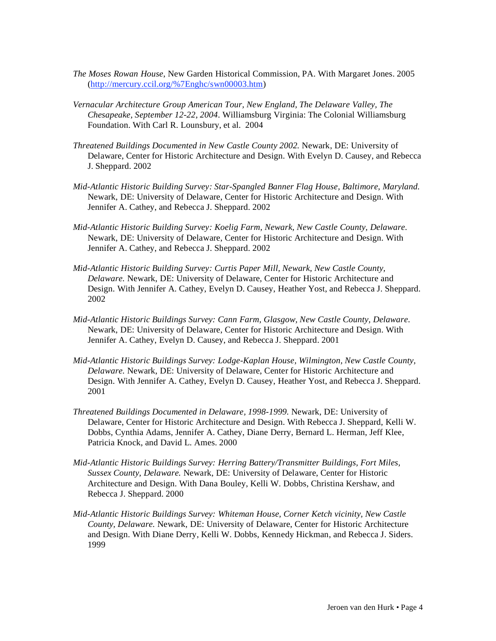- *The Moses Rowan House*, New Garden Historical Commission, PA. With Margaret Jones. 2005 (http://mercury.ccil.org/%7Enghc/swn00003.htm)
- *Vernacular Architecture Group American Tour, New England, The Delaware Valley, The Chesapeake, September 12-22, 2004*. Williamsburg Virginia: The Colonial Williamsburg Foundation. With Carl R. Lounsbury, et al. 2004
- *Threatened Buildings Documented in New Castle County 2002.* Newark, DE: University of Delaware, Center for Historic Architecture and Design. With Evelyn D. Causey, and Rebecca J. Sheppard. 2002
- *Mid-Atlantic Historic Building Survey: Star-Spangled Banner Flag House, Baltimore, Maryland.* Newark, DE: University of Delaware, Center for Historic Architecture and Design. With Jennifer A. Cathey, and Rebecca J. Sheppard. 2002
- *Mid-Atlantic Historic Building Survey: Koelig Farm, Newark, New Castle County, Delaware.* Newark, DE: University of Delaware, Center for Historic Architecture and Design. With Jennifer A. Cathey, and Rebecca J. Sheppard. 2002
- *Mid-Atlantic Historic Building Survey: Curtis Paper Mill, Newark, New Castle County, Delaware.* Newark, DE: University of Delaware, Center for Historic Architecture and Design. With Jennifer A. Cathey, Evelyn D. Causey, Heather Yost, and Rebecca J. Sheppard. 2002
- *Mid-Atlantic Historic Buildings Survey: Cann Farm, Glasgow, New Castle County, Delaware.* Newark, DE: University of Delaware, Center for Historic Architecture and Design. With Jennifer A. Cathey, Evelyn D. Causey, and Rebecca J. Sheppard. 2001
- *Mid-Atlantic Historic Buildings Survey: Lodge-Kaplan House, Wilmington, New Castle County, Delaware.* Newark, DE: University of Delaware, Center for Historic Architecture and Design. With Jennifer A. Cathey, Evelyn D. Causey, Heather Yost, and Rebecca J. Sheppard. 2001
- *Threatened Buildings Documented in Delaware, 1998-1999.* Newark, DE: University of Delaware, Center for Historic Architecture and Design. With Rebecca J. Sheppard, Kelli W. Dobbs, Cynthia Adams, Jennifer A. Cathey, Diane Derry, Bernard L. Herman, Jeff Klee, Patricia Knock, and David L. Ames. 2000
- *Mid-Atlantic Historic Buildings Survey: Herring Battery/Transmitter Buildings, Fort Miles, Sussex County, Delaware.* Newark, DE: University of Delaware, Center for Historic Architecture and Design. With Dana Bouley, Kelli W. Dobbs, Christina Kershaw, and Rebecca J. Sheppard. 2000
- *Mid-Atlantic Historic Buildings Survey: Whiteman House, Corner Ketch vicinity, New Castle County, Delaware.* Newark, DE: University of Delaware, Center for Historic Architecture and Design. With Diane Derry, Kelli W. Dobbs, Kennedy Hickman, and Rebecca J. Siders. 1999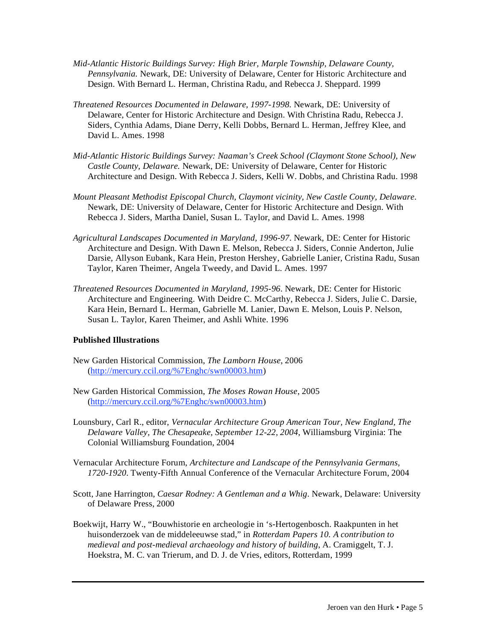- *Mid-Atlantic Historic Buildings Survey: High Brier, Marple Township, Delaware County, Pennsylvania.* Newark, DE: University of Delaware, Center for Historic Architecture and Design. With Bernard L. Herman, Christina Radu, and Rebecca J. Sheppard. 1999
- *Threatened Resources Documented in Delaware, 1997-1998.* Newark, DE: University of Delaware, Center for Historic Architecture and Design. With Christina Radu, Rebecca J. Siders, Cynthia Adams, Diane Derry, Kelli Dobbs, Bernard L. Herman, Jeffrey Klee, and David L. Ames. 1998
- *Mid-Atlantic Historic Buildings Survey: Naaman's Creek School (Claymont Stone School), New Castle County, Delaware.* Newark, DE: University of Delaware, Center for Historic Architecture and Design. With Rebecca J. Siders, Kelli W. Dobbs, and Christina Radu. 1998
- *Mount Pleasant Methodist Episcopal Church, Claymont vicinity, New Castle County, Delaware.* Newark, DE: University of Delaware, Center for Historic Architecture and Design. With Rebecca J. Siders, Martha Daniel, Susan L. Taylor, and David L. Ames. 1998
- *Agricultural Landscapes Documented in Maryland, 1996-97*. Newark, DE: Center for Historic Architecture and Design. With Dawn E. Melson, Rebecca J. Siders, Connie Anderton, Julie Darsie, Allyson Eubank, Kara Hein, Preston Hershey, Gabrielle Lanier, Cristina Radu, Susan Taylor, Karen Theimer, Angela Tweedy, and David L. Ames. 1997
- *Threatened Resources Documented in Maryland, 1995-96*. Newark, DE: Center for Historic Architecture and Engineering. With Deidre C. McCarthy, Rebecca J. Siders, Julie C. Darsie, Kara Hein, Bernard L. Herman, Gabrielle M. Lanier, Dawn E. Melson, Louis P. Nelson, Susan L. Taylor, Karen Theimer, and Ashli White. 1996

#### **Published Illustrations**

- New Garden Historical Commission, *The Lamborn House*, 2006 (http://mercury.ccil.org/%7Enghc/swn00003.htm)
- New Garden Historical Commission, *The Moses Rowan House*, 2005 (http://mercury.ccil.org/%7Enghc/swn00003.htm)
- Lounsbury, Carl R., editor, *Vernacular Architecture Group American Tour, New England, The Delaware Valley, The Chesapeake, September 12-22, 2004*, Williamsburg Virginia: The Colonial Williamsburg Foundation, 2004
- Vernacular Architecture Forum, *Architecture and Landscape of the Pennsylvania Germans, 1720-1920*. Twenty-Fifth Annual Conference of the Vernacular Architecture Forum, 2004
- Scott, Jane Harrington, *Caesar Rodney: A Gentleman and a Whig*. Newark, Delaware: University of Delaware Press, 2000
- Boekwijt, Harry W., "Bouwhistorie en archeologie in 's-Hertogenbosch. Raakpunten in het huisonderzoek van de middeleeuwse stad," in *Rotterdam Papers 10. A contribution to medieval and post-medieval archaeology and history of building*, A. Cramiggelt, T. J. Hoekstra, M. C. van Trierum, and D. J. de Vries, editors, Rotterdam, 1999